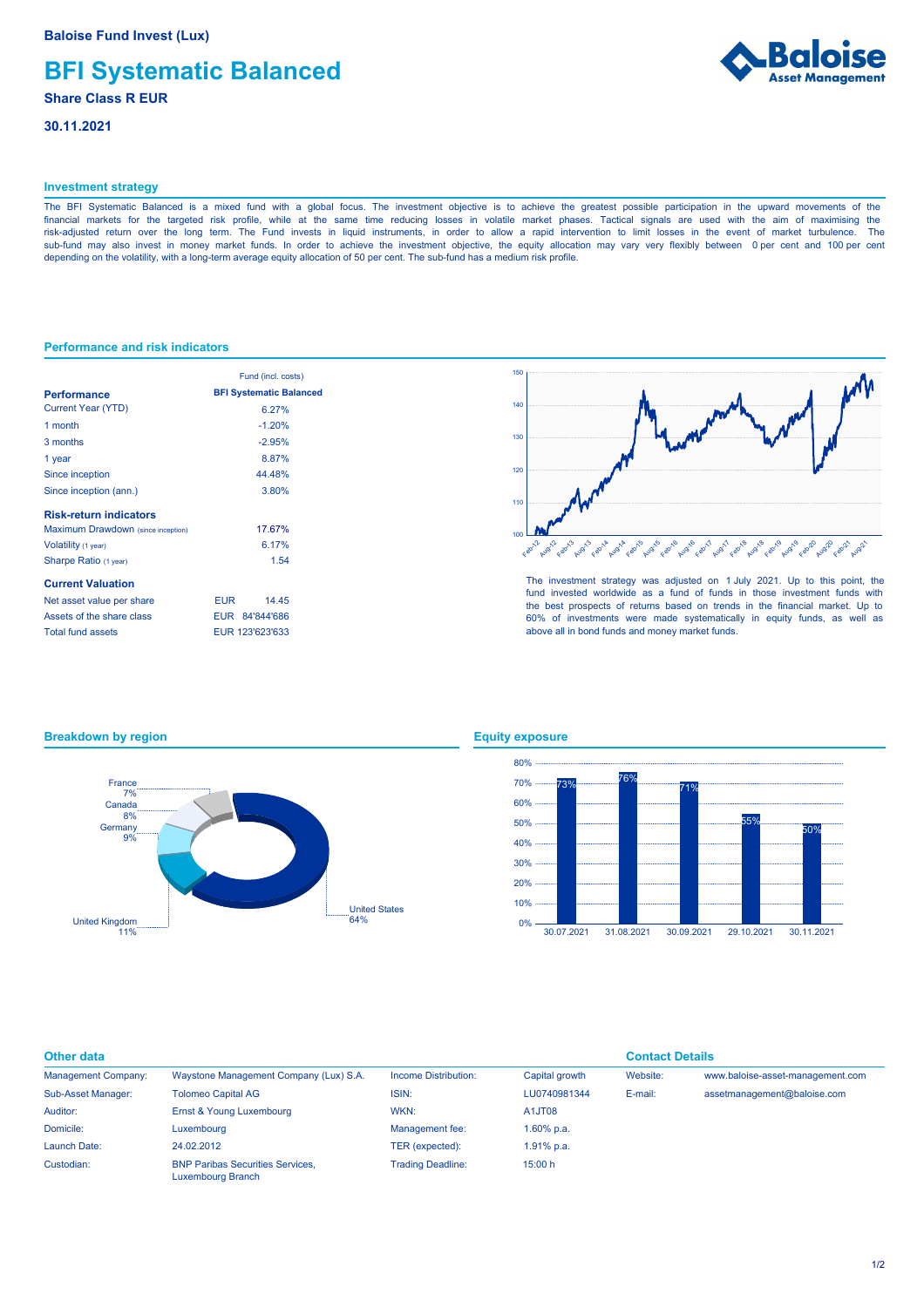# **BFI Systematic Balanced**

## **Share Class R EUR**

**30.11.2021**



## **Investment strategy**

The BFI Systematic Balanced is a mixed fund with a global focus. The investment objective is to achieve the greatest possible participation in the upward movements of the financial markets for the targeted risk profile, while at the same time reducing losses in volatile market phases. Tactical signals are used with the aim of maximising the risk-adjusted return over the long term. The Fund invests in liquid instruments, in order to allow a rapid intervention to limit losses in the event of market turbulence. The sub-fund may also invest in money market funds. In order to achieve the investment objective, the equity allocation may vary very flexibly between 0 per cent and 100 per cent depending on the volatility, with a long-term average equity allocation of 50 per cent. The sub-fund has a medium risk profile.

## **Performance and risk indicators**

|                                    | Fund (incl. costs)             |  |  |
|------------------------------------|--------------------------------|--|--|
| <b>Performance</b>                 | <b>BFI Systematic Balanced</b> |  |  |
| <b>Current Year (YTD)</b>          | 6.27%                          |  |  |
| 1 month                            | $-1.20%$                       |  |  |
| 3 months                           | $-2.95%$                       |  |  |
| 1 year                             | 887%                           |  |  |
| Since inception                    | 44.48%                         |  |  |
| Since inception (ann.)             | 3.80%                          |  |  |
| <b>Risk-return indicators</b>      |                                |  |  |
| Maximum Drawdown (since inception) | 17.67%                         |  |  |
| Volatility (1 year)                | 6.17%                          |  |  |
| Sharpe Ratio (1 year)              | 1.54                           |  |  |
| <b>Current Valuation</b>           |                                |  |  |
| Net asset value per share          | 14 45<br>EUR <b>The State</b>  |  |  |
| Assets of the share class          | EUR 84'844'686                 |  |  |
| <b>Total fund assets</b>           | EUR 123'623'633                |  |  |



The investment strategy was adjusted on 1 July 2021. Up to this point, the fund invested worldwide as a fund of funds in those investment funds with the best prospects of returns based on trends in the financial market. Up to 60% of investments were made systematically in equity funds, as well as above all in bond funds and money market funds.

## $-64%$ United States 11% United Kingdom 9% **Germany** 8% Canada 7% France

## **Equity exposure**



**Breakdown by region**

| Other data                 |                                                                     |                          | <b>Contact Details</b> |          |                                  |
|----------------------------|---------------------------------------------------------------------|--------------------------|------------------------|----------|----------------------------------|
| <b>Management Company:</b> | Waystone Management Company (Lux) S.A.                              | Income Distribution:     | Capital growth         | Website: | www.baloise-asset-management.com |
| Sub-Asset Manager:         | <b>Tolomeo Capital AG</b>                                           | ISIN:                    | LU0740981344           | E-mail:  | assetmanagement@baloise.com      |
| Auditor:                   | Ernst & Young Luxembourg                                            | WKN:                     | A1JT08                 |          |                                  |
| Domicile:                  | Luxembourg                                                          | Management fee:          | 1.60% p.a.             |          |                                  |
| Launch Date:               | 24.02.2012                                                          | TER (expected):          | 1.91% p.a.             |          |                                  |
| Custodian:                 | <b>BNP Paribas Securities Services.</b><br><b>Luxembourg Branch</b> | <b>Trading Deadline:</b> | 15:00 h                |          |                                  |